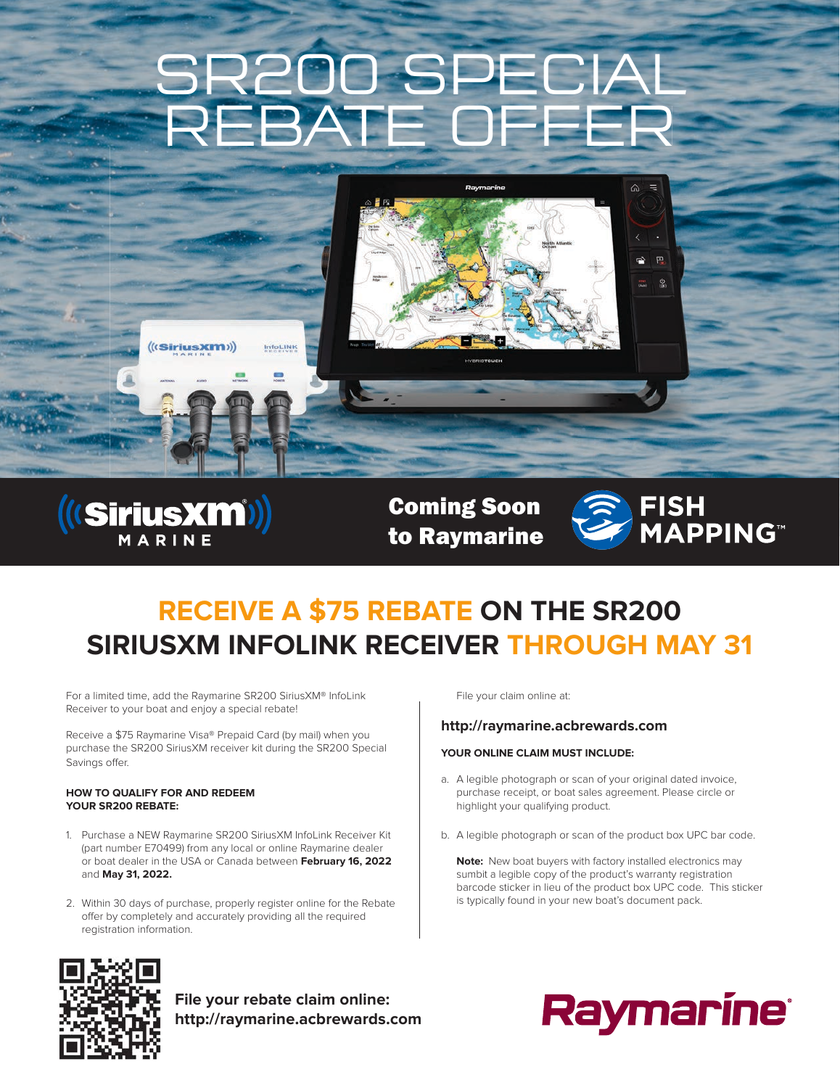# SR200 SPECIAL REBATE OFFER





Coming Soon to Raymarine



⋒  $=$ 

> 図  $\mathcal{Q}$

### **RECEIVE A \$75 REBATE ON THE SR200 SIRIUSXM INFOLINK RECEIVER THROUGH MAY 31**

For a limited time, add the Raymarine SR200 SiriusXM® InfoLink Receiver to your boat and enjoy a special rebate!

Receive a \$75 Raymarine Visa® Prepaid Card (by mail) when you purchase the SR200 SiriusXM receiver kit during the SR200 Special Savings offer.

#### **HOW TO QUALIFY FOR AND REDEEM YOUR SR200 REBATE:**

- 1. Purchase a NEW Raymarine SR200 SiriusXM InfoLink Receiver Kit (part number E70499) from any local or online Raymarine dealer or boat dealer in the USA or Canada between **February 16, 2022** and **May 31, 2022.**
- 2. Within 30 days of purchase, properly register online for the Rebate offer by completely and accurately providing all the required registration information.

File your claim online at:

#### **http://raymarine.acbrewards.com**

#### **YOUR ONLINE CLAIM MUST INCLUDE:**

- a. A legible photograph or scan of your original dated invoice, purchase receipt, or boat sales agreement. Please circle or highlight your qualifying product.
- b. A legible photograph or scan of the product box UPC bar code.

**Note:** New boat buyers with factory installed electronics may sumbit a legible copy of the product's warranty registration barcode sticker in lieu of the product box UPC code. This sticker is typically found in your new boat's document pack.



**File your rebate claim online: http://raymarine.acbrewards.com**